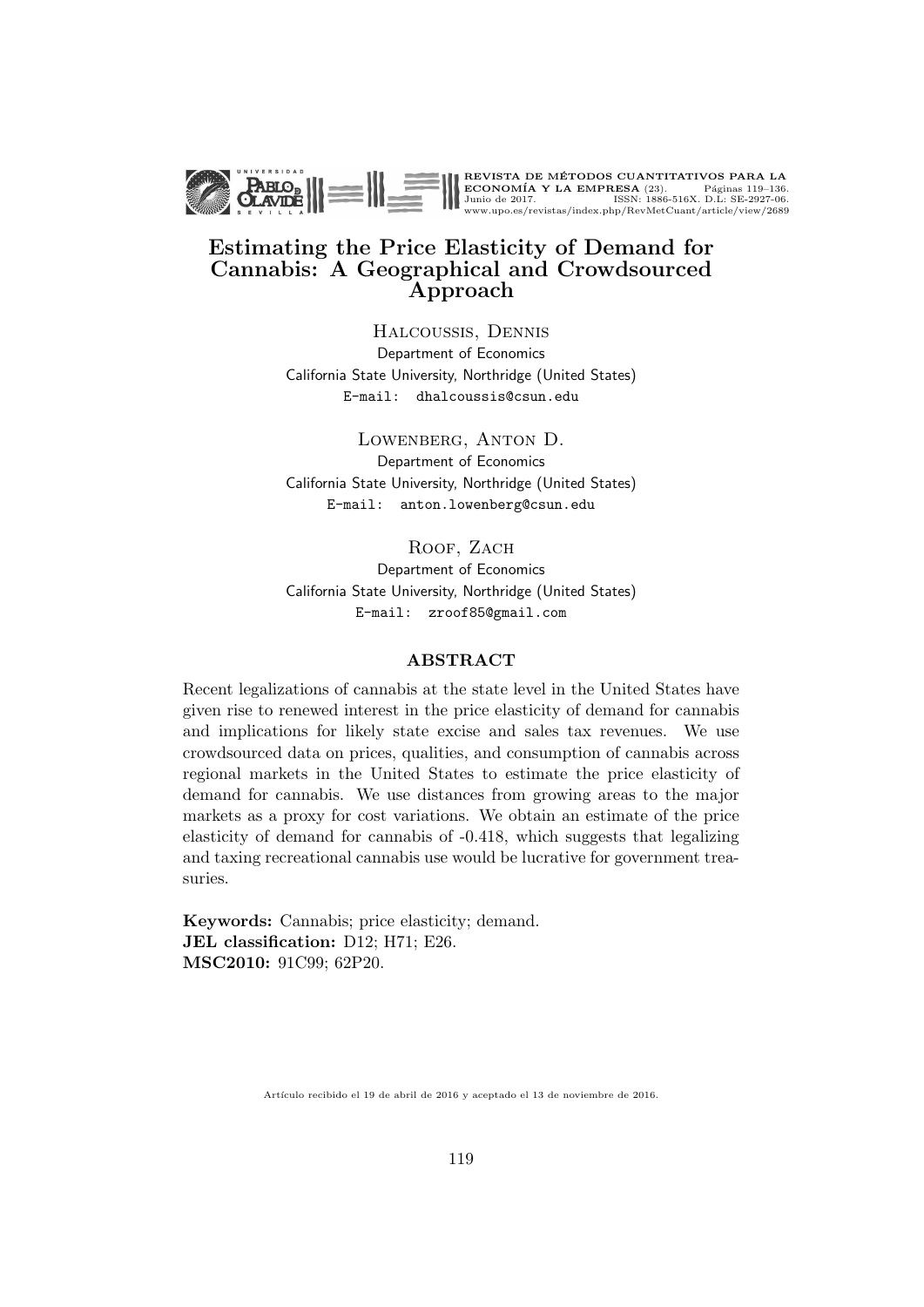

#### Estimating the Price Elasticity of Demand for Cannabis: A Geographical and Crowdsourced Approach

Halcoussis, Dennis Department of Economics California State University, Northridge (United States) E-mail: dhalcoussis@csun.edu

Lowenberg, Anton D. Department of Economics California State University, Northridge (United States) E-mail: anton.lowenberg@csun.edu

ROOF, ZACH

Department of Economics California State University, Northridge (United States) E-mail: zroof85@gmail.com

#### ABSTRACT

Recent legalizations of cannabis at the state level in the United States have given rise to renewed interest in the price elasticity of demand for cannabis and implications for likely state excise and sales tax revenues. We use crowdsourced data on prices, qualities, and consumption of cannabis across regional markets in the United States to estimate the price elasticity of demand for cannabis. We use distances from growing areas to the major markets as a proxy for cost variations. We obtain an estimate of the price elasticity of demand for cannabis of -0.418, which suggests that legalizing and taxing recreational cannabis use would be lucrative for government treasuries.

Keywords: Cannabis; price elasticity; demand. JEL classification: D12; H71; E26. MSC2010: 91C99; 62P20.

Artículo recibido el 19 de abril de 2016 y aceptado el 13 de noviembre de 2016.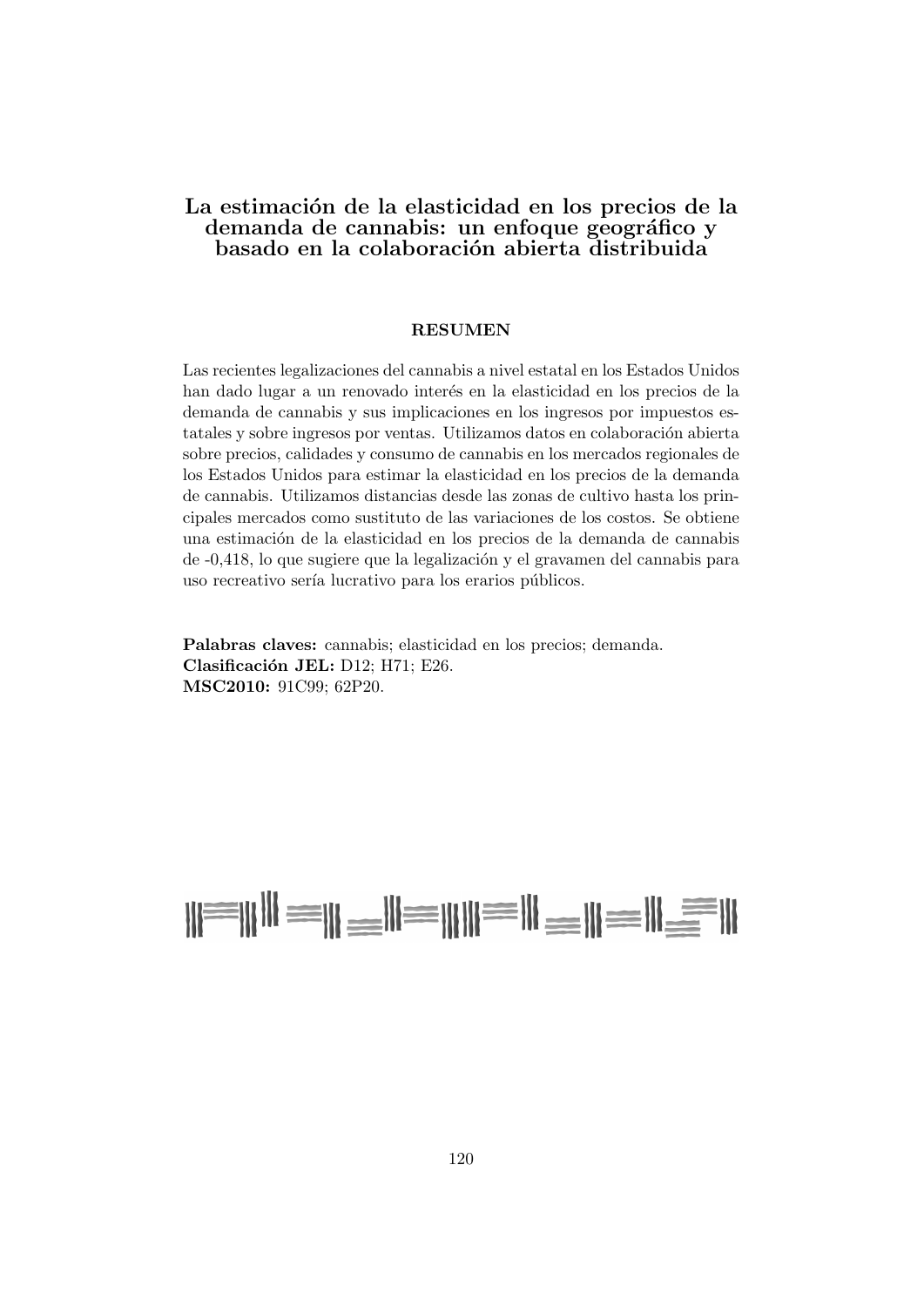#### La estimación de la elasticidad en los precios de la demanda de cannabis: un enfoque geográfico y basado en la colaboración abierta distribuida

#### RESUMEN

Las recientes legalizaciones del cannabis a nivel estatal en los Estados Unidos han dado lugar a un renovado interés en la elasticidad en los precios de la demanda de cannabis y sus implicaciones en los ingresos por impuestos estatales y sobre ingresos por ventas. Utilizamos datos en colaboración abierta sobre precios, calidades y consumo de cannabis en los mercados regionales de los Estados Unidos para estimar la elasticidad en los precios de la demanda de cannabis. Utilizamos distancias desde las zonas de cultivo hasta los principales mercados como sustituto de las variaciones de los costos. Se obtiene una estimación de la elasticidad en los precios de la demanda de cannabis  $de -0.418$ , lo que sugiere que la legalización y el gravamen del cannabis para uso recreativo sería lucrativo para los erarios públicos.

Palabras claves: cannabis; elasticidad en los precios; demanda. Clasificación JEL: D12; H71; E26. MSC2010: 91C99; 62P20.

# N=NH = N=N=NH = N=N=N=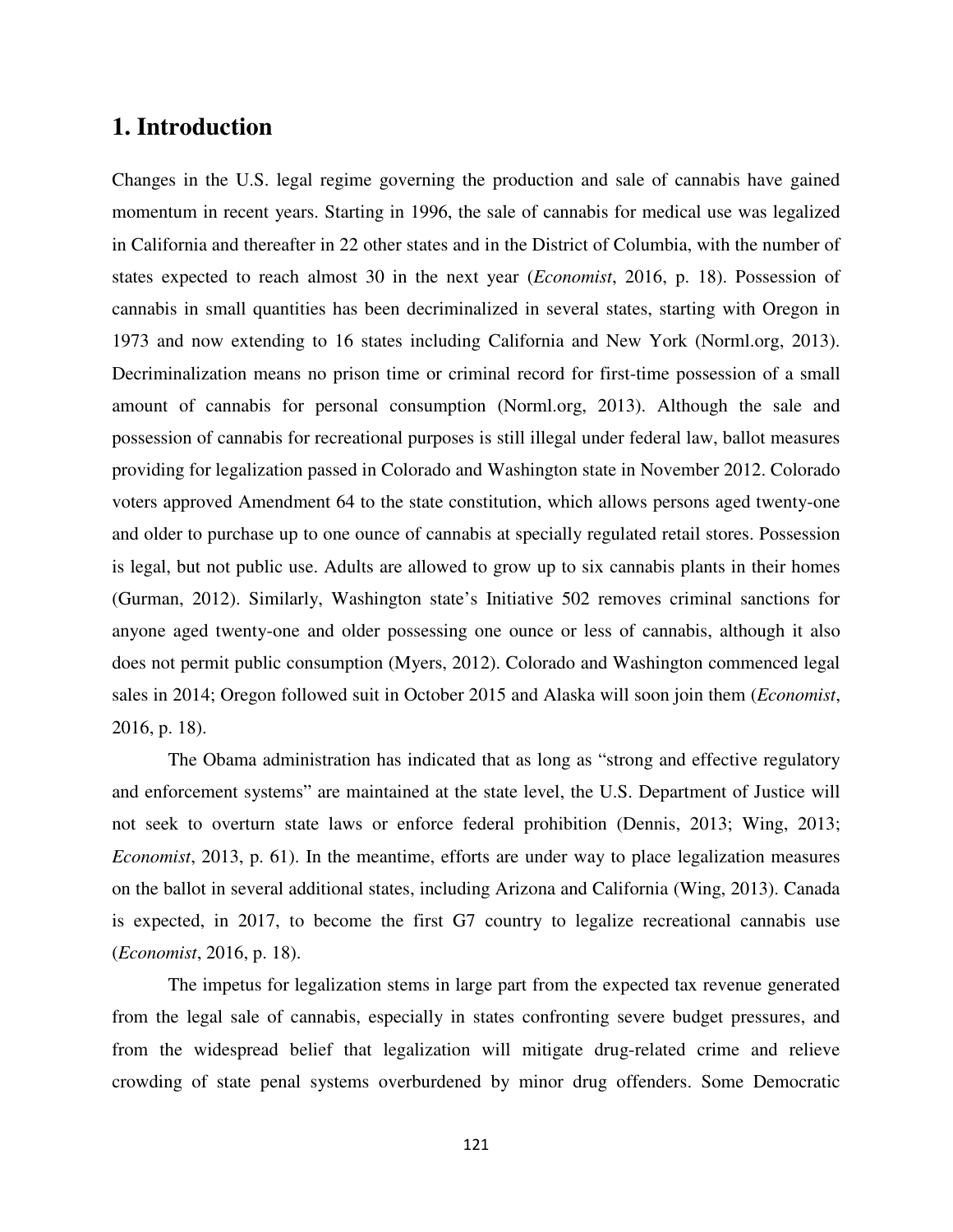# **1. Introduction**

Changes in the U.S. legal regime governing the production and sale of cannabis have gained momentum in recent years. Starting in 1996, the sale of cannabis for medical use was legalized in California and thereafter in 22 other states and in the District of Columbia, with the number of states expected to reach almost 30 in the next year (*Economist*, 2016, p. 18). Possession of cannabis in small quantities has been decriminalized in several states, starting with Oregon in 1973 and now extending to 16 states including California and New York (Norml.org, 2013). Decriminalization means no prison time or criminal record for first-time possession of a small amount of cannabis for personal consumption (Norml.org, 2013). Although the sale and possession of cannabis for recreational purposes is still illegal under federal law, ballot measures providing for legalization passed in Colorado and Washington state in November 2012. Colorado voters approved Amendment 64 to the state constitution, which allows persons aged twenty-one and older to purchase up to one ounce of cannabis at specially regulated retail stores. Possession is legal, but not public use. Adults are allowed to grow up to six cannabis plants in their homes (Gurman, 2012). Similarly, Washington state's Initiative 502 removes criminal sanctions for anyone aged twenty-one and older possessing one ounce or less of cannabis, although it also does not permit public consumption (Myers, 2012). Colorado and Washington commenced legal sales in 2014; Oregon followed suit in October 2015 and Alaska will soon join them (*Economist*, 2016, p. 18).

The Obama administration has indicated that as long as "strong and effective regulatory and enforcement systems" are maintained at the state level, the U.S. Department of Justice will not seek to overturn state laws or enforce federal prohibition (Dennis, 2013; Wing, 2013; *Economist*, 2013, p. 61). In the meantime, efforts are under way to place legalization measures on the ballot in several additional states, including Arizona and California (Wing, 2013). Canada is expected, in 2017, to become the first G7 country to legalize recreational cannabis use (*Economist*, 2016, p. 18).

 The impetus for legalization stems in large part from the expected tax revenue generated from the legal sale of cannabis, especially in states confronting severe budget pressures, and from the widespread belief that legalization will mitigate drug-related crime and relieve crowding of state penal systems overburdened by minor drug offenders. Some Democratic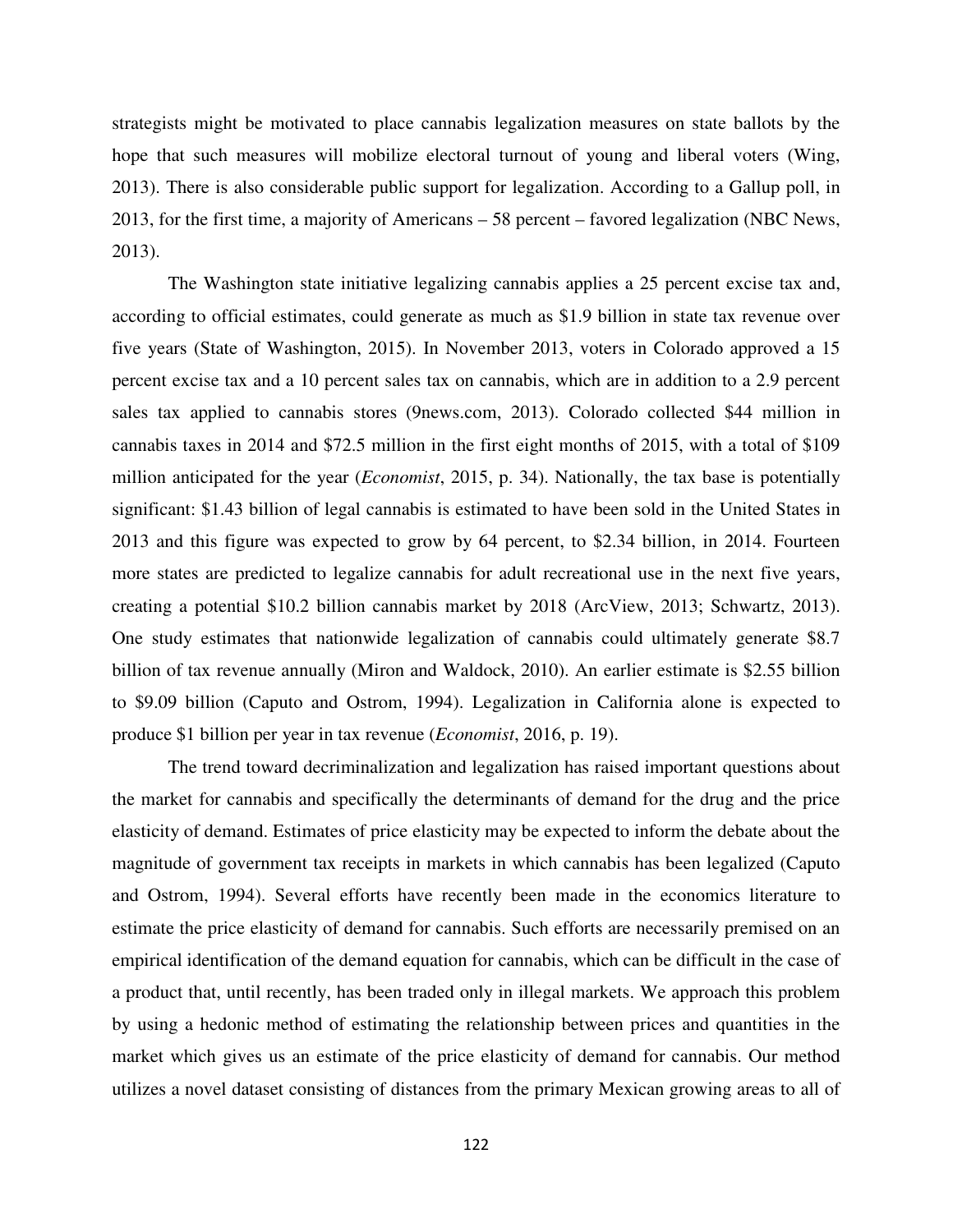strategists might be motivated to place cannabis legalization measures on state ballots by the hope that such measures will mobilize electoral turnout of young and liberal voters (Wing, 2013). There is also considerable public support for legalization. According to a Gallup poll, in 2013, for the first time, a majority of Americans – 58 percent – favored legalization (NBC News, 2013).

The Washington state initiative legalizing cannabis applies a 25 percent excise tax and, according to official estimates, could generate as much as \$1.9 billion in state tax revenue over five years (State of Washington, 2015). In November 2013, voters in Colorado approved a 15 percent excise tax and a 10 percent sales tax on cannabis, which are in addition to a 2.9 percent sales tax applied to cannabis stores (9news.com, 2013). Colorado collected \$44 million in cannabis taxes in 2014 and \$72.5 million in the first eight months of 2015, with a total of \$109 million anticipated for the year (*Economist*, 2015, p. 34). Nationally, the tax base is potentially significant: \$1.43 billion of legal cannabis is estimated to have been sold in the United States in 2013 and this figure was expected to grow by 64 percent, to \$2.34 billion, in 2014. Fourteen more states are predicted to legalize cannabis for adult recreational use in the next five years, creating a potential \$10.2 billion cannabis market by 2018 (ArcView, 2013; Schwartz, 2013). One study estimates that nationwide legalization of cannabis could ultimately generate \$8.7 billion of tax revenue annually (Miron and Waldock, 2010). An earlier estimate is \$2.55 billion to \$9.09 billion (Caputo and Ostrom, 1994). Legalization in California alone is expected to produce \$1 billion per year in tax revenue (*Economist*, 2016, p. 19).

The trend toward decriminalization and legalization has raised important questions about the market for cannabis and specifically the determinants of demand for the drug and the price elasticity of demand. Estimates of price elasticity may be expected to inform the debate about the magnitude of government tax receipts in markets in which cannabis has been legalized (Caputo and Ostrom, 1994). Several efforts have recently been made in the economics literature to estimate the price elasticity of demand for cannabis. Such efforts are necessarily premised on an empirical identification of the demand equation for cannabis, which can be difficult in the case of a product that, until recently, has been traded only in illegal markets. We approach this problem by using a hedonic method of estimating the relationship between prices and quantities in the market which gives us an estimate of the price elasticity of demand for cannabis. Our method utilizes a novel dataset consisting of distances from the primary Mexican growing areas to all of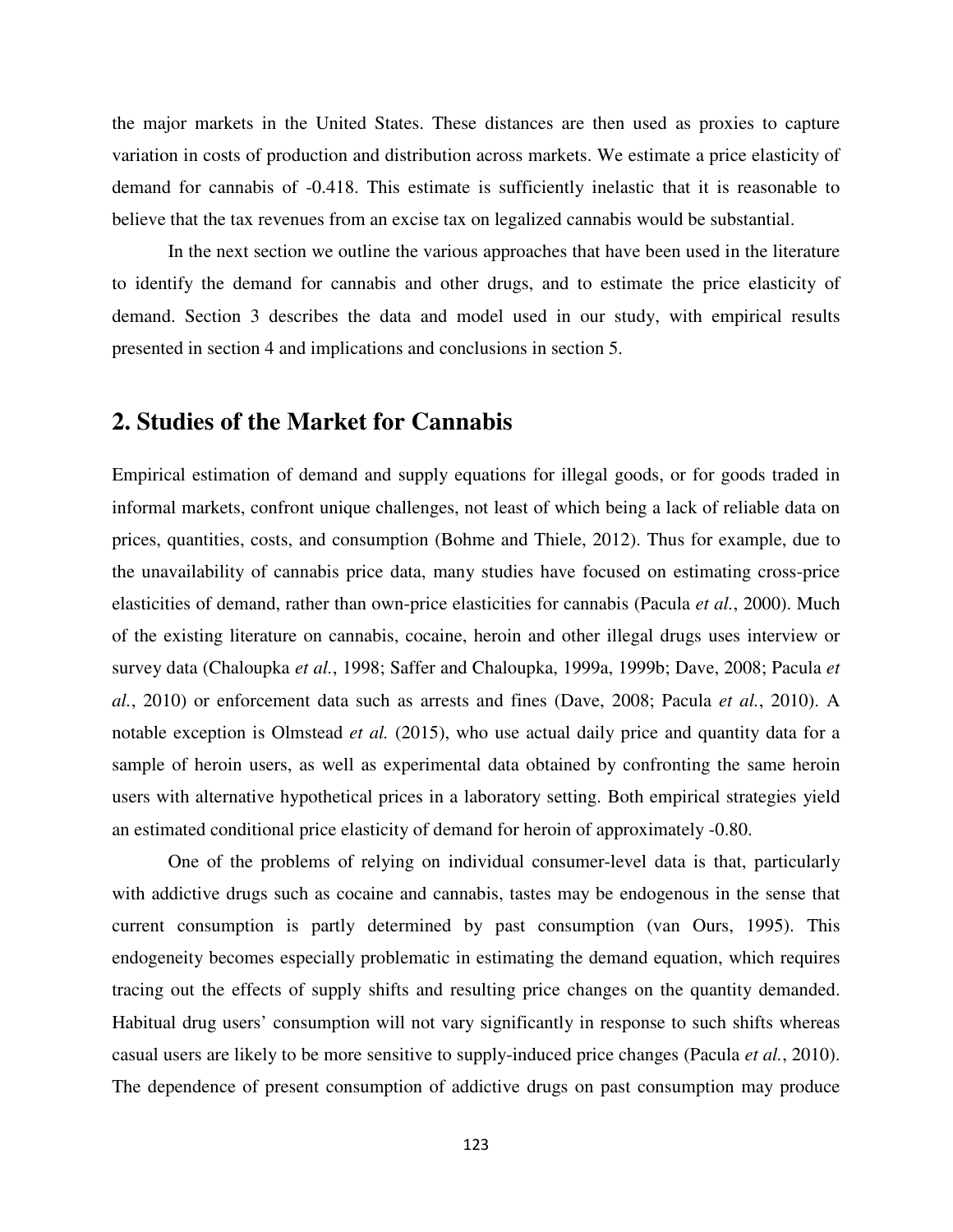the major markets in the United States. These distances are then used as proxies to capture variation in costs of production and distribution across markets. We estimate a price elasticity of demand for cannabis of -0.418. This estimate is sufficiently inelastic that it is reasonable to believe that the tax revenues from an excise tax on legalized cannabis would be substantial.

In the next section we outline the various approaches that have been used in the literature to identify the demand for cannabis and other drugs, and to estimate the price elasticity of demand. Section 3 describes the data and model used in our study, with empirical results presented in section 4 and implications and conclusions in section 5.

# **2. Studies of the Market for Cannabis**

Empirical estimation of demand and supply equations for illegal goods, or for goods traded in informal markets, confront unique challenges, not least of which being a lack of reliable data on prices, quantities, costs, and consumption (Bohme and Thiele, 2012). Thus for example, due to the unavailability of cannabis price data, many studies have focused on estimating cross-price elasticities of demand, rather than own-price elasticities for cannabis (Pacula *et al.*, 2000). Much of the existing literature on cannabis, cocaine, heroin and other illegal drugs uses interview or survey data (Chaloupka *et al.*, 1998; Saffer and Chaloupka, 1999a, 1999b; Dave, 2008; Pacula *et al.*, 2010) or enforcement data such as arrests and fines (Dave, 2008; Pacula *et al.*, 2010). A notable exception is Olmstead *et al.* (2015), who use actual daily price and quantity data for a sample of heroin users, as well as experimental data obtained by confronting the same heroin users with alternative hypothetical prices in a laboratory setting. Both empirical strategies yield an estimated conditional price elasticity of demand for heroin of approximately -0.80.

One of the problems of relying on individual consumer-level data is that, particularly with addictive drugs such as cocaine and cannabis, tastes may be endogenous in the sense that current consumption is partly determined by past consumption (van Ours, 1995). This endogeneity becomes especially problematic in estimating the demand equation, which requires tracing out the effects of supply shifts and resulting price changes on the quantity demanded. Habitual drug users' consumption will not vary significantly in response to such shifts whereas casual users are likely to be more sensitive to supply-induced price changes (Pacula *et al.*, 2010). The dependence of present consumption of addictive drugs on past consumption may produce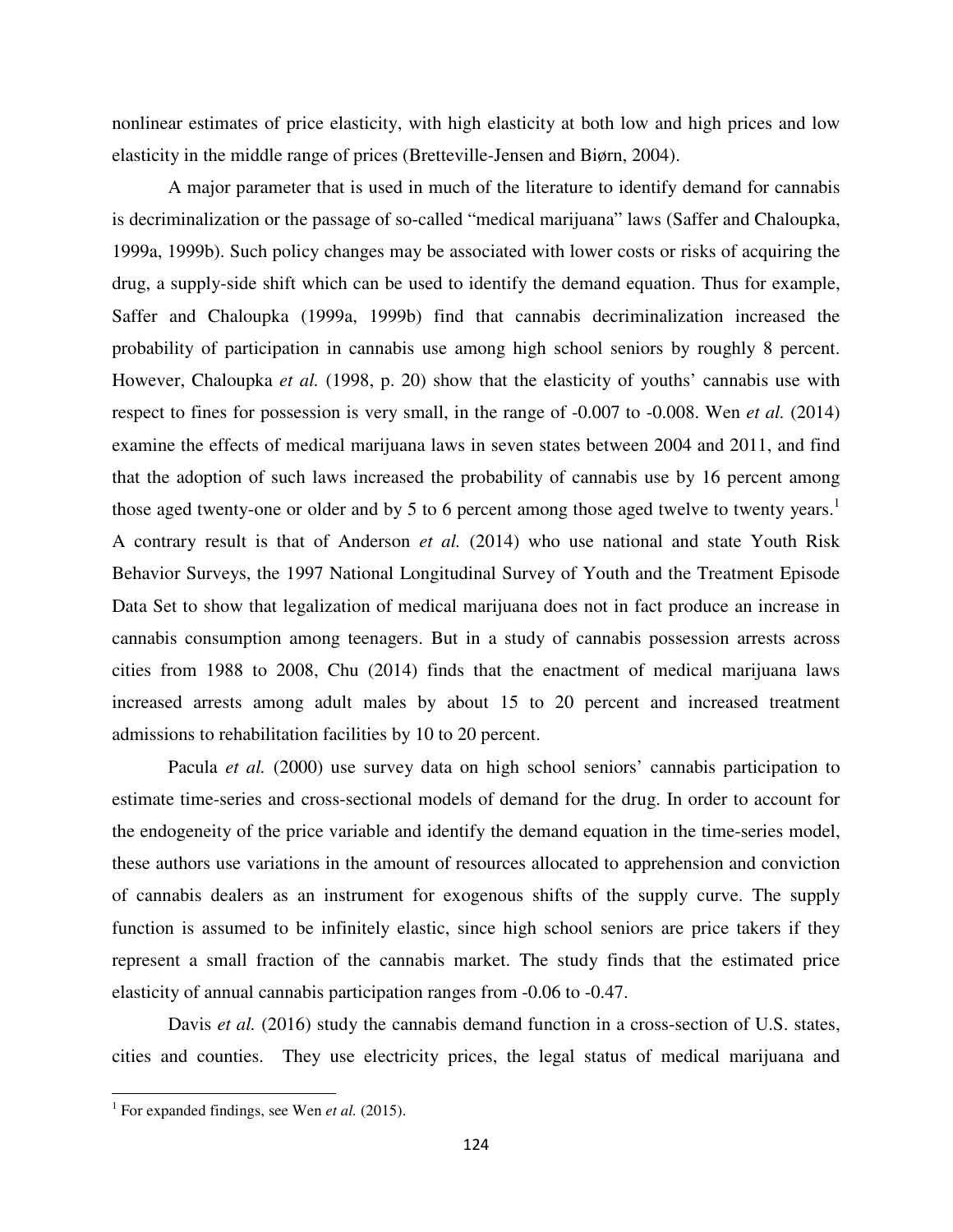nonlinear estimates of price elasticity, with high elasticity at both low and high prices and low elasticity in the middle range of prices (Bretteville-Jensen and Biørn, 2004).

A major parameter that is used in much of the literature to identify demand for cannabis is decriminalization or the passage of so-called "medical marijuana" laws (Saffer and Chaloupka, 1999a, 1999b). Such policy changes may be associated with lower costs or risks of acquiring the drug, a supply-side shift which can be used to identify the demand equation. Thus for example, Saffer and Chaloupka (1999a, 1999b) find that cannabis decriminalization increased the probability of participation in cannabis use among high school seniors by roughly 8 percent. However, Chaloupka *et al.* (1998, p. 20) show that the elasticity of youths' cannabis use with respect to fines for possession is very small, in the range of -0.007 to -0.008. Wen *et al.* (2014) examine the effects of medical marijuana laws in seven states between 2004 and 2011, and find that the adoption of such laws increased the probability of cannabis use by 16 percent among those aged twenty-one or older and by 5 to 6 percent among those aged twelve to twenty years.<sup>1</sup> A contrary result is that of Anderson *et al.* (2014) who use national and state Youth Risk Behavior Surveys, the 1997 National Longitudinal Survey of Youth and the Treatment Episode Data Set to show that legalization of medical marijuana does not in fact produce an increase in cannabis consumption among teenagers. But in a study of cannabis possession arrests across cities from 1988 to 2008, Chu (2014) finds that the enactment of medical marijuana laws increased arrests among adult males by about 15 to 20 percent and increased treatment admissions to rehabilitation facilities by 10 to 20 percent.

Pacula *et al.* (2000) use survey data on high school seniors' cannabis participation to estimate time-series and cross-sectional models of demand for the drug. In order to account for the endogeneity of the price variable and identify the demand equation in the time-series model, these authors use variations in the amount of resources allocated to apprehension and conviction of cannabis dealers as an instrument for exogenous shifts of the supply curve. The supply function is assumed to be infinitely elastic, since high school seniors are price takers if they represent a small fraction of the cannabis market. The study finds that the estimated price elasticity of annual cannabis participation ranges from -0.06 to -0.47.

Davis *et al.* (2016) study the cannabis demand function in a cross-section of U.S. states, cities and counties. They use electricity prices, the legal status of medical marijuana and

 $\overline{\phantom{0}}$ 

<sup>&</sup>lt;sup>1</sup> For expanded findings, see Wen *et al.* (2015).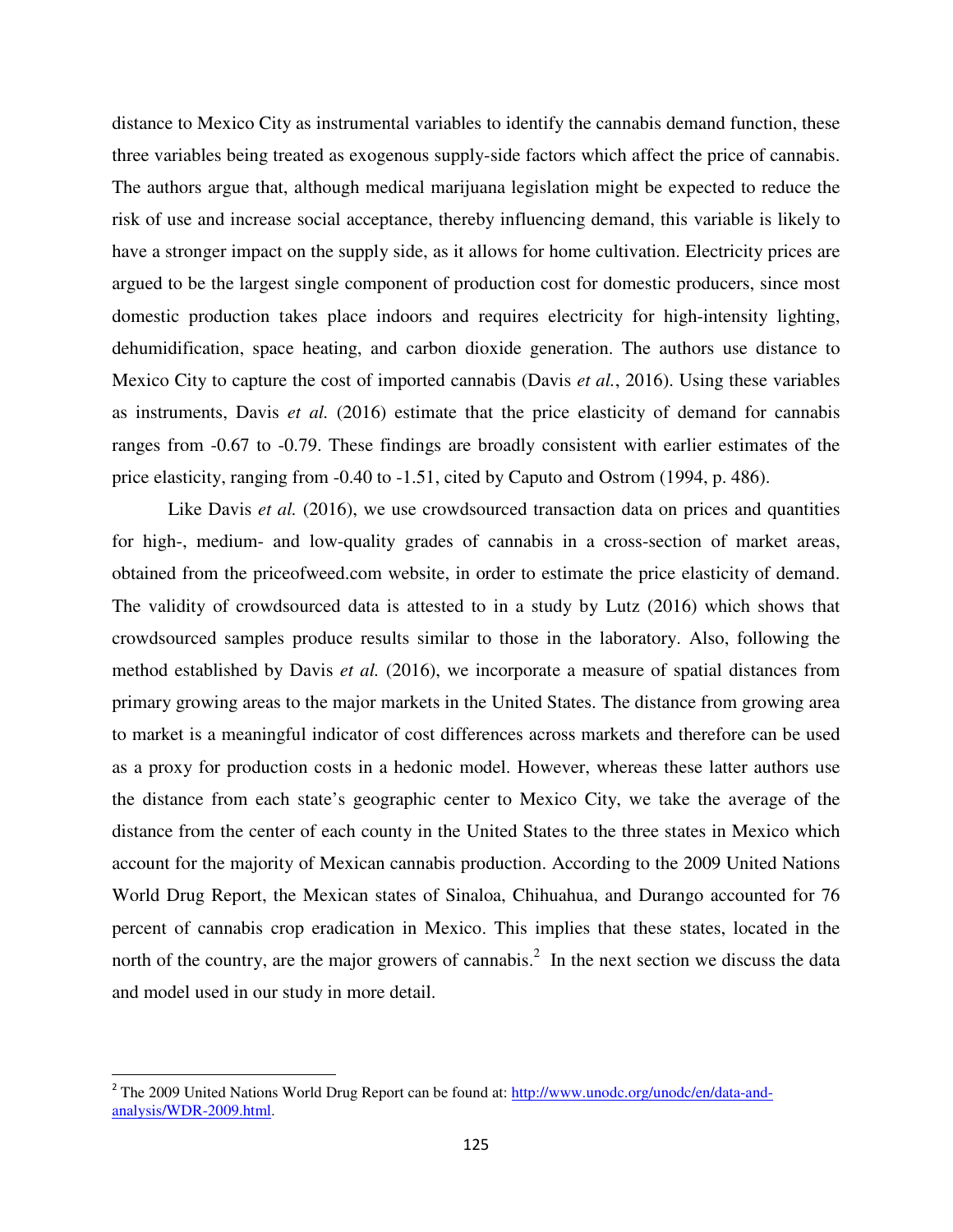distance to Mexico City as instrumental variables to identify the cannabis demand function, these three variables being treated as exogenous supply-side factors which affect the price of cannabis. The authors argue that, although medical marijuana legislation might be expected to reduce the risk of use and increase social acceptance, thereby influencing demand, this variable is likely to have a stronger impact on the supply side, as it allows for home cultivation. Electricity prices are argued to be the largest single component of production cost for domestic producers, since most domestic production takes place indoors and requires electricity for high-intensity lighting, dehumidification, space heating, and carbon dioxide generation. The authors use distance to Mexico City to capture the cost of imported cannabis (Davis *et al.*, 2016). Using these variables as instruments, Davis *et al.* (2016) estimate that the price elasticity of demand for cannabis ranges from -0.67 to -0.79. These findings are broadly consistent with earlier estimates of the price elasticity, ranging from -0.40 to -1.51, cited by Caputo and Ostrom (1994, p. 486).

Like Davis *et al.* (2016), we use crowdsourced transaction data on prices and quantities for high-, medium- and low-quality grades of cannabis in a cross-section of market areas, obtained from the priceofweed.com website, in order to estimate the price elasticity of demand. The validity of crowdsourced data is attested to in a study by Lutz (2016) which shows that crowdsourced samples produce results similar to those in the laboratory. Also, following the method established by Davis *et al.* (2016), we incorporate a measure of spatial distances from primary growing areas to the major markets in the United States. The distance from growing area to market is a meaningful indicator of cost differences across markets and therefore can be used as a proxy for production costs in a hedonic model. However, whereas these latter authors use the distance from each state's geographic center to Mexico City, we take the average of the distance from the center of each county in the United States to the three states in Mexico which account for the majority of Mexican cannabis production. According to the 2009 United Nations World Drug Report, the Mexican states of Sinaloa, Chihuahua, and Durango accounted for 76 percent of cannabis crop eradication in Mexico. This implies that these states, located in the north of the country, are the major growers of cannabis.<sup>2</sup> In the next section we discuss the data and model used in our study in more detail.

<u>.</u>

<sup>&</sup>lt;sup>2</sup> The 2009 United Nations World Drug Report can be found at: http://www.unodc.org/unodc/en/data-andanalysis/WDR-2009.html.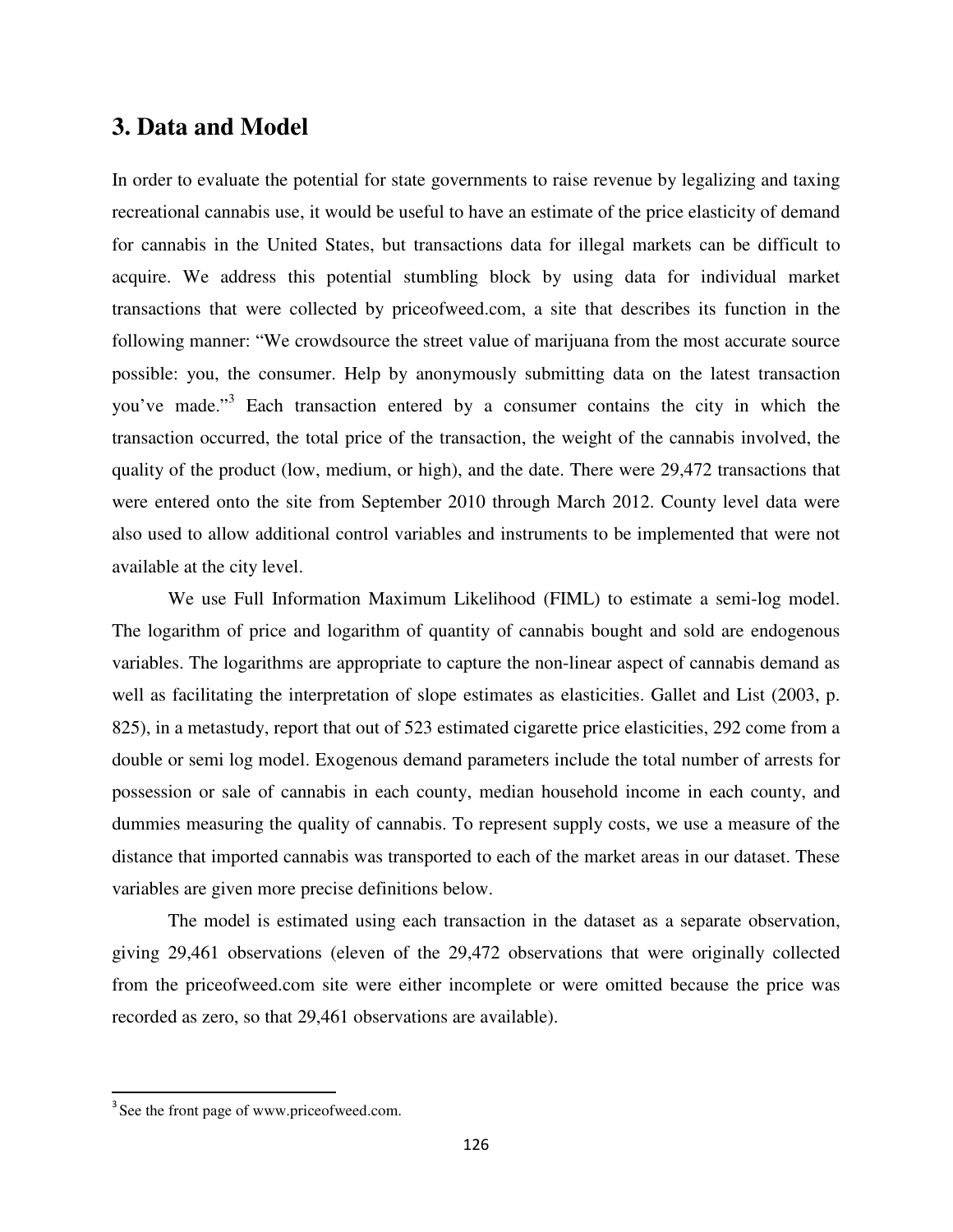#### **3. Data and Model**

In order to evaluate the potential for state governments to raise revenue by legalizing and taxing recreational cannabis use, it would be useful to have an estimate of the price elasticity of demand for cannabis in the United States, but transactions data for illegal markets can be difficult to acquire. We address this potential stumbling block by using data for individual market transactions that were collected by priceofweed.com, a site that describes its function in the following manner: "We crowdsource the street value of marijuana from the most accurate source possible: you, the consumer. Help by anonymously submitting data on the latest transaction you've made."<sup>3</sup> Each transaction entered by a consumer contains the city in which the transaction occurred, the total price of the transaction, the weight of the cannabis involved, the quality of the product (low, medium, or high), and the date. There were 29,472 transactions that were entered onto the site from September 2010 through March 2012. County level data were also used to allow additional control variables and instruments to be implemented that were not available at the city level.

We use Full Information Maximum Likelihood (FIML) to estimate a semi-log model. The logarithm of price and logarithm of quantity of cannabis bought and sold are endogenous variables. The logarithms are appropriate to capture the non-linear aspect of cannabis demand as well as facilitating the interpretation of slope estimates as elasticities. Gallet and List (2003, p. 825), in a metastudy, report that out of 523 estimated cigarette price elasticities, 292 come from a double or semi log model. Exogenous demand parameters include the total number of arrests for possession or sale of cannabis in each county, median household income in each county, and dummies measuring the quality of cannabis. To represent supply costs, we use a measure of the distance that imported cannabis was transported to each of the market areas in our dataset. These variables are given more precise definitions below.

The model is estimated using each transaction in the dataset as a separate observation, giving 29,461 observations (eleven of the 29,472 observations that were originally collected from the priceofweed.com site were either incomplete or were omitted because the price was recorded as zero, so that 29,461 observations are available).

-

<sup>&</sup>lt;sup>3</sup> See the front page of www.priceofweed.com.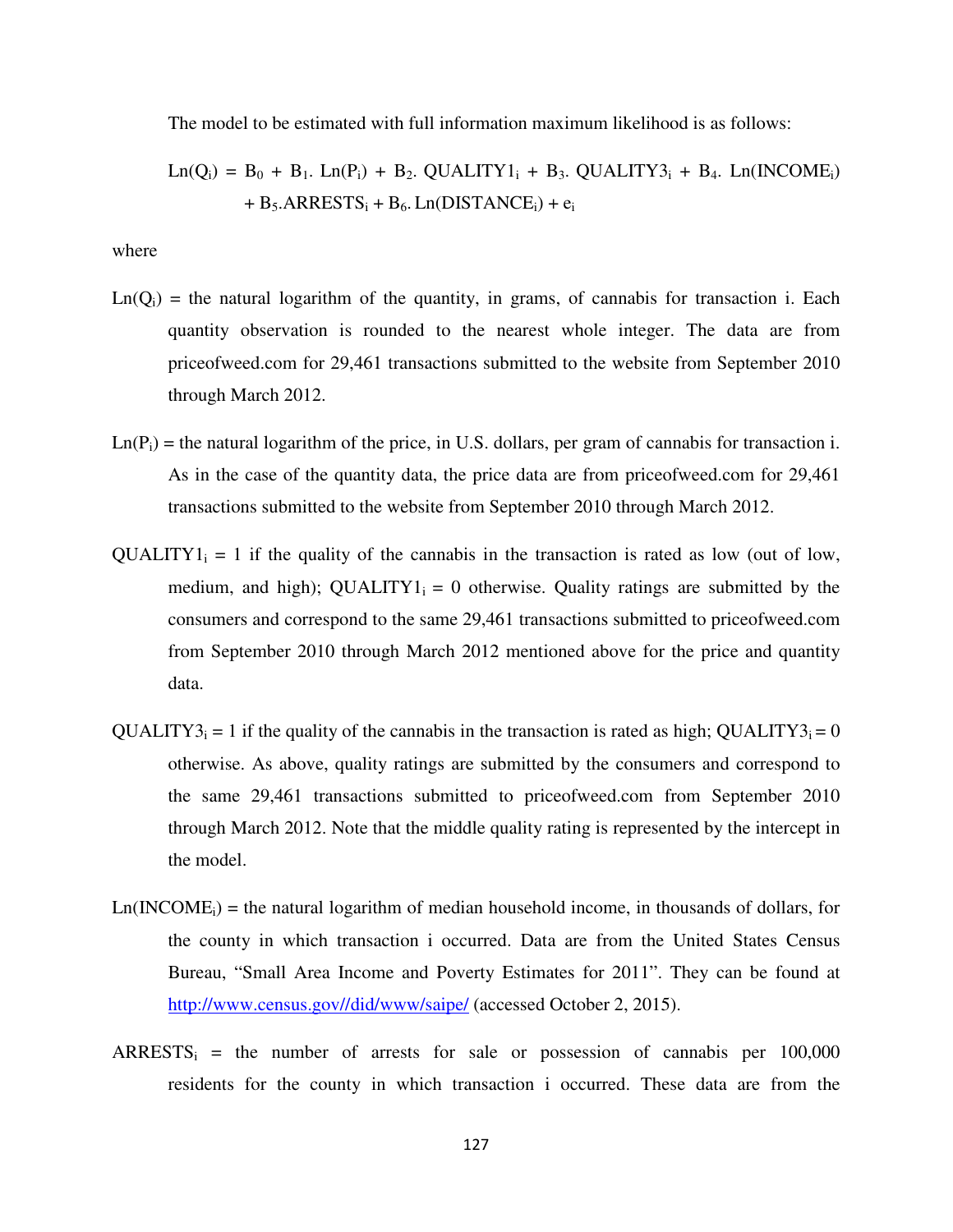The model to be estimated with full information maximum likelihood is as follows:

$$
Ln(Qi) = B0 + B1. Ln(Pi) + B2. QUALITY1i + B3. QUALITY3i + B4. Ln(INCOMEi)+ B5.ARRESTSi + B6. Ln(DISTANCEi) + ei
$$

where

- $Ln(Q<sub>i</sub>)$  = the natural logarithm of the quantity, in grams, of cannabis for transaction i. Each quantity observation is rounded to the nearest whole integer. The data are from priceofweed.com for 29,461 transactions submitted to the website from September 2010 through March 2012.
- $Ln(P_i)$  = the natural logarithm of the price, in U.S. dollars, per gram of cannabis for transaction i. As in the case of the quantity data, the price data are from priceofweed.com for 29,461 transactions submitted to the website from September 2010 through March 2012.
- $QUALITY1_i = 1$  if the quality of the cannabis in the transaction is rated as low (out of low, medium, and high); QUALITY1<sub>i</sub> = 0 otherwise. Quality ratings are submitted by the consumers and correspond to the same 29,461 transactions submitted to priceofweed.com from September 2010 through March 2012 mentioned above for the price and quantity data.
- $\text{QUALITY3}_i = 1$  if the quality of the cannabis in the transaction is rated as high;  $\text{QUALITY3}_i = 0$ otherwise. As above, quality ratings are submitted by the consumers and correspond to the same 29,461 transactions submitted to priceofweed.com from September 2010 through March 2012. Note that the middle quality rating is represented by the intercept in the model.
- $Ln(INCOME<sub>i</sub>)$  = the natural logarithm of median household income, in thousands of dollars, for the county in which transaction i occurred. Data are from the United States Census Bureau, "Small Area Income and Poverty Estimates for 2011". They can be found at http://www.census.gov//did/www/saipe/ (accessed October 2, 2015).
- $ARRESTS_i$  = the number of arrests for sale or possession of cannabis per 100,000 residents for the county in which transaction i occurred. These data are from the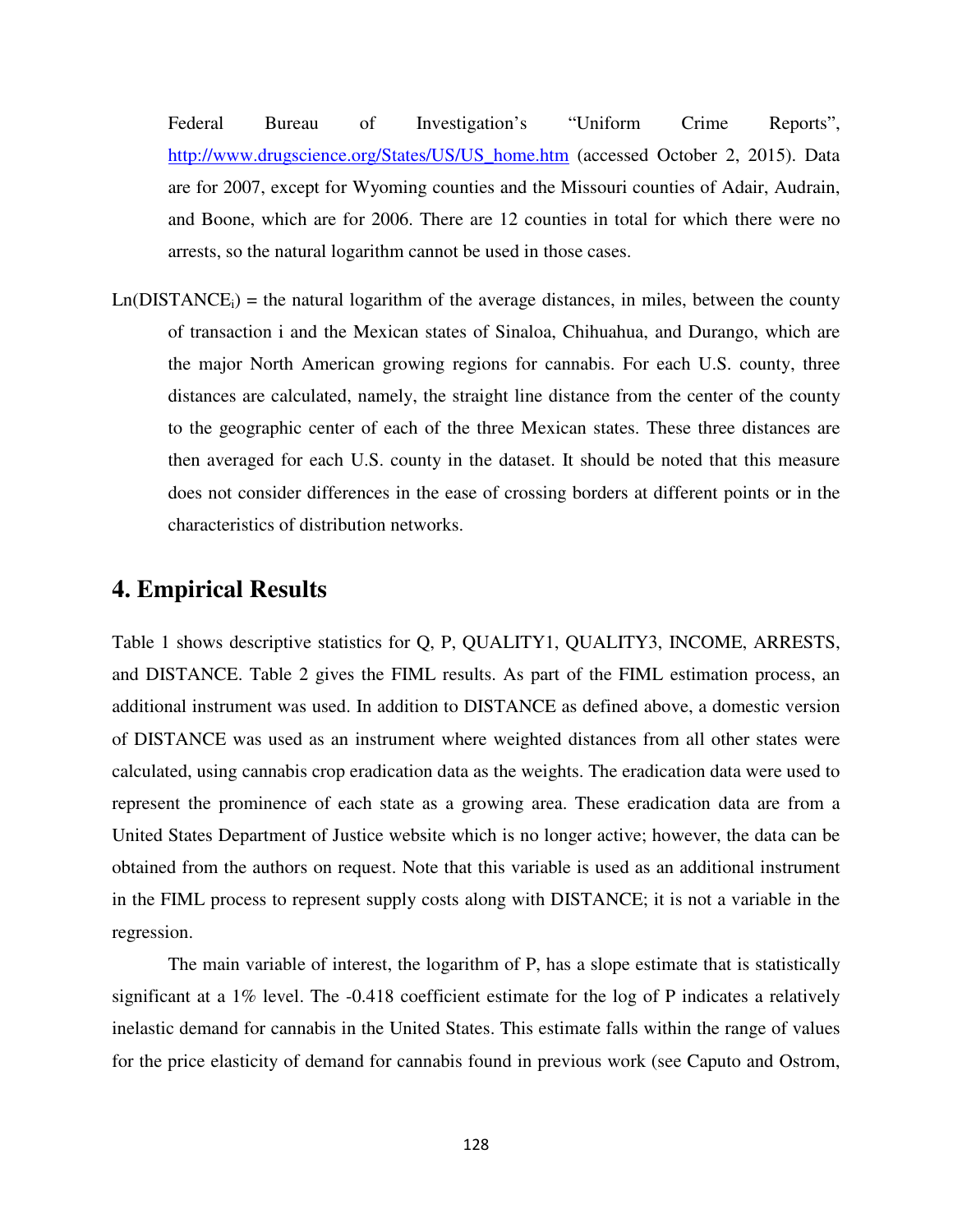Federal Bureau of Investigation's "Uniform Crime Reports", http://www.drugscience.org/States/US/US\_home.htm (accessed October 2, 2015). Data are for 2007, except for Wyoming counties and the Missouri counties of Adair, Audrain, and Boone, which are for 2006. There are 12 counties in total for which there were no arrests, so the natural logarithm cannot be used in those cases.

 $Ln(DISTANCE<sub>i</sub>)$  = the natural logarithm of the average distances, in miles, between the county of transaction i and the Mexican states of Sinaloa, Chihuahua, and Durango, which are the major North American growing regions for cannabis. For each U.S. county, three distances are calculated, namely, the straight line distance from the center of the county to the geographic center of each of the three Mexican states. These three distances are then averaged for each U.S. county in the dataset. It should be noted that this measure does not consider differences in the ease of crossing borders at different points or in the characteristics of distribution networks.

#### **4. Empirical Results**

Table 1 shows descriptive statistics for Q, P, QUALITY1, QUALITY3, INCOME, ARRESTS, and DISTANCE. Table 2 gives the FIML results. As part of the FIML estimation process, an additional instrument was used. In addition to DISTANCE as defined above, a domestic version of DISTANCE was used as an instrument where weighted distances from all other states were calculated, using cannabis crop eradication data as the weights. The eradication data were used to represent the prominence of each state as a growing area. These eradication data are from a United States Department of Justice website which is no longer active; however, the data can be obtained from the authors on request. Note that this variable is used as an additional instrument in the FIML process to represent supply costs along with DISTANCE; it is not a variable in the regression.

The main variable of interest, the logarithm of P, has a slope estimate that is statistically significant at a 1% level. The -0.418 coefficient estimate for the log of P indicates a relatively inelastic demand for cannabis in the United States. This estimate falls within the range of values for the price elasticity of demand for cannabis found in previous work (see Caputo and Ostrom,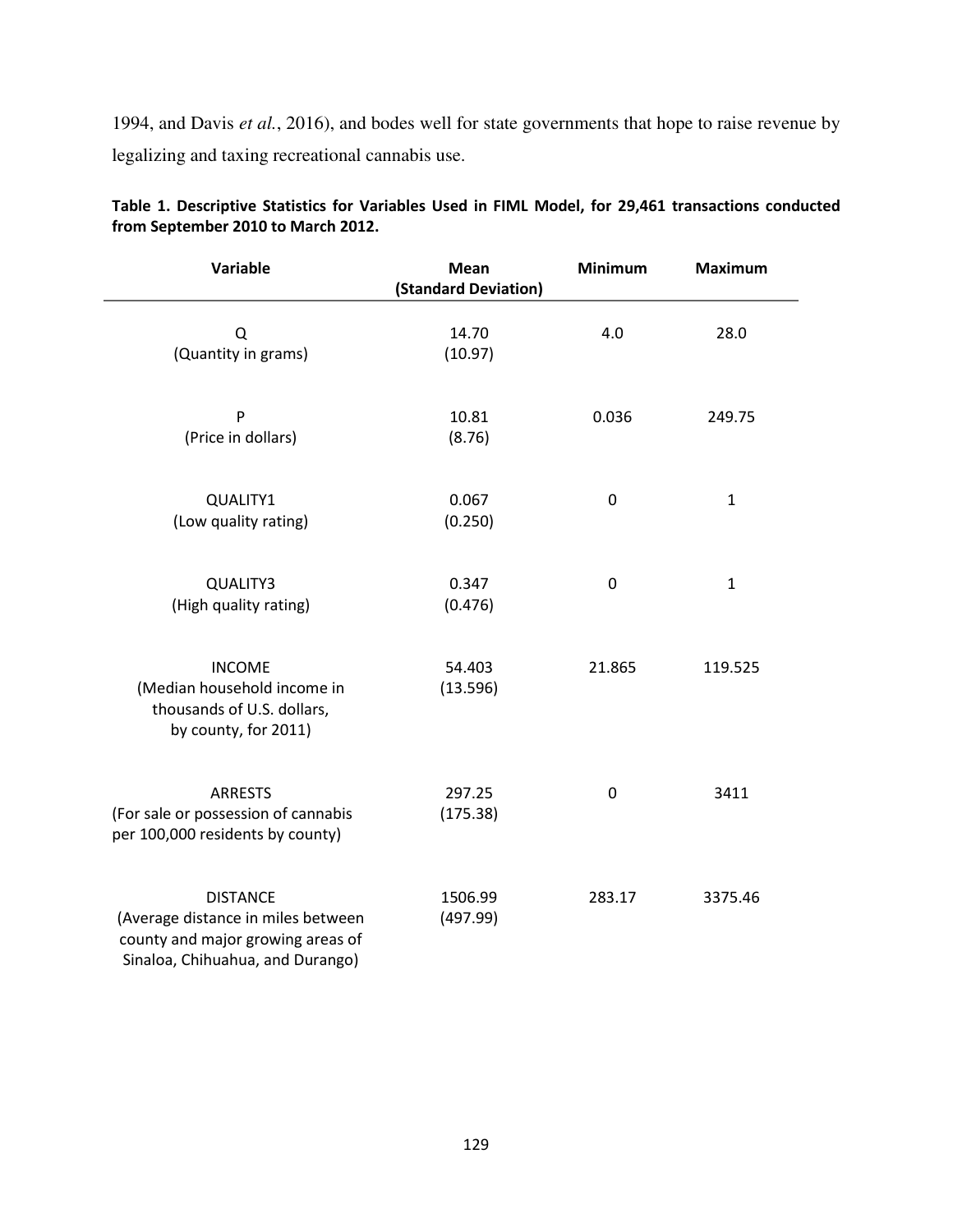1994, and Davis *et al.*, 2016), and bodes well for state governments that hope to raise revenue by legalizing and taxing recreational cannabis use.

| Variable                                                                                                                       | Mean<br>(Standard Deviation) | <b>Minimum</b> | <b>Maximum</b> |
|--------------------------------------------------------------------------------------------------------------------------------|------------------------------|----------------|----------------|
| Q<br>(Quantity in grams)                                                                                                       | 14.70<br>(10.97)             | 4.0            | 28.0           |
| P<br>(Price in dollars)                                                                                                        | 10.81<br>(8.76)              | 0.036          | 249.75         |
| QUALITY1<br>(Low quality rating)                                                                                               | 0.067<br>(0.250)             | $\mathbf 0$    | $\mathbf{1}$   |
| QUALITY3<br>(High quality rating)                                                                                              | 0.347<br>(0.476)             | 0              | $\mathbf{1}$   |
| <b>INCOME</b><br>(Median household income in<br>thousands of U.S. dollars,<br>by county, for 2011)                             | 54.403<br>(13.596)           | 21.865         | 119.525        |
| <b>ARRESTS</b><br>(For sale or possession of cannabis<br>per 100,000 residents by county)                                      | 297.25<br>(175.38)           | 0              | 3411           |
| <b>DISTANCE</b><br>(Average distance in miles between<br>county and major growing areas of<br>Sinaloa, Chihuahua, and Durango) | 1506.99<br>(497.99)          | 283.17         | 3375.46        |

**Table 1. Descriptive Statistics for Variables Used in FIML Model, for 29,461 transactions conducted from September 2010 to March 2012.**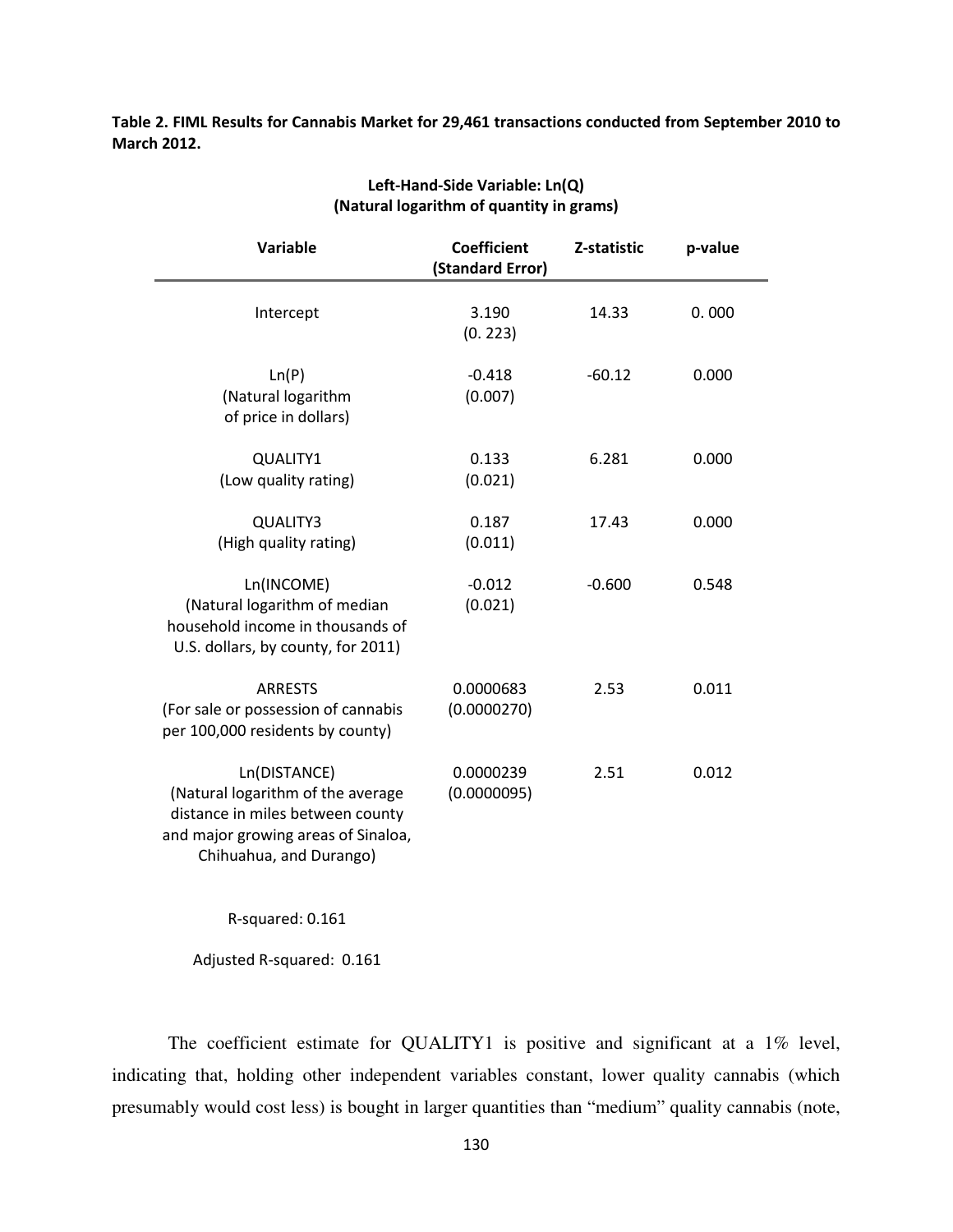**Table 2. FIML Results for Cannabis Market for 29,461 transactions conducted from September 2010 to March 2012.** 

| Variable                                                                                                                                                | <b>Coefficient</b><br>(Standard Error) | Z-statistic | p-value |
|---------------------------------------------------------------------------------------------------------------------------------------------------------|----------------------------------------|-------------|---------|
| Intercept                                                                                                                                               | 3.190<br>(0.223)                       | 14.33       | 0.000   |
| Ln(P)<br>(Natural logarithm<br>of price in dollars)                                                                                                     | $-0.418$<br>(0.007)                    | $-60.12$    | 0.000   |
| QUALITY1<br>(Low quality rating)                                                                                                                        | 0.133<br>(0.021)                       | 6.281       | 0.000   |
| QUALITY3<br>(High quality rating)                                                                                                                       | 0.187<br>(0.011)                       | 17.43       | 0.000   |
| Ln(INCOME)<br>(Natural logarithm of median<br>household income in thousands of<br>U.S. dollars, by county, for 2011)                                    | $-0.012$<br>(0.021)                    | $-0.600$    | 0.548   |
| <b>ARRESTS</b><br>(For sale or possession of cannabis<br>per 100,000 residents by county)                                                               | 0.0000683<br>(0.0000270)               | 2.53        | 0.011   |
| Ln(DISTANCE)<br>(Natural logarithm of the average<br>distance in miles between county<br>and major growing areas of Sinaloa,<br>Chihuahua, and Durango) | 0.0000239<br>(0.0000095)               | 2.51        | 0.012   |

#### **Left-Hand-Side Variable: Ln(Q) (Natural logarithm of quantity in grams)**

R-squared: 0.161

Adjusted R-squared: 0.161

The coefficient estimate for QUALITY1 is positive and significant at a 1% level, indicating that, holding other independent variables constant, lower quality cannabis (which presumably would cost less) is bought in larger quantities than "medium" quality cannabis (note,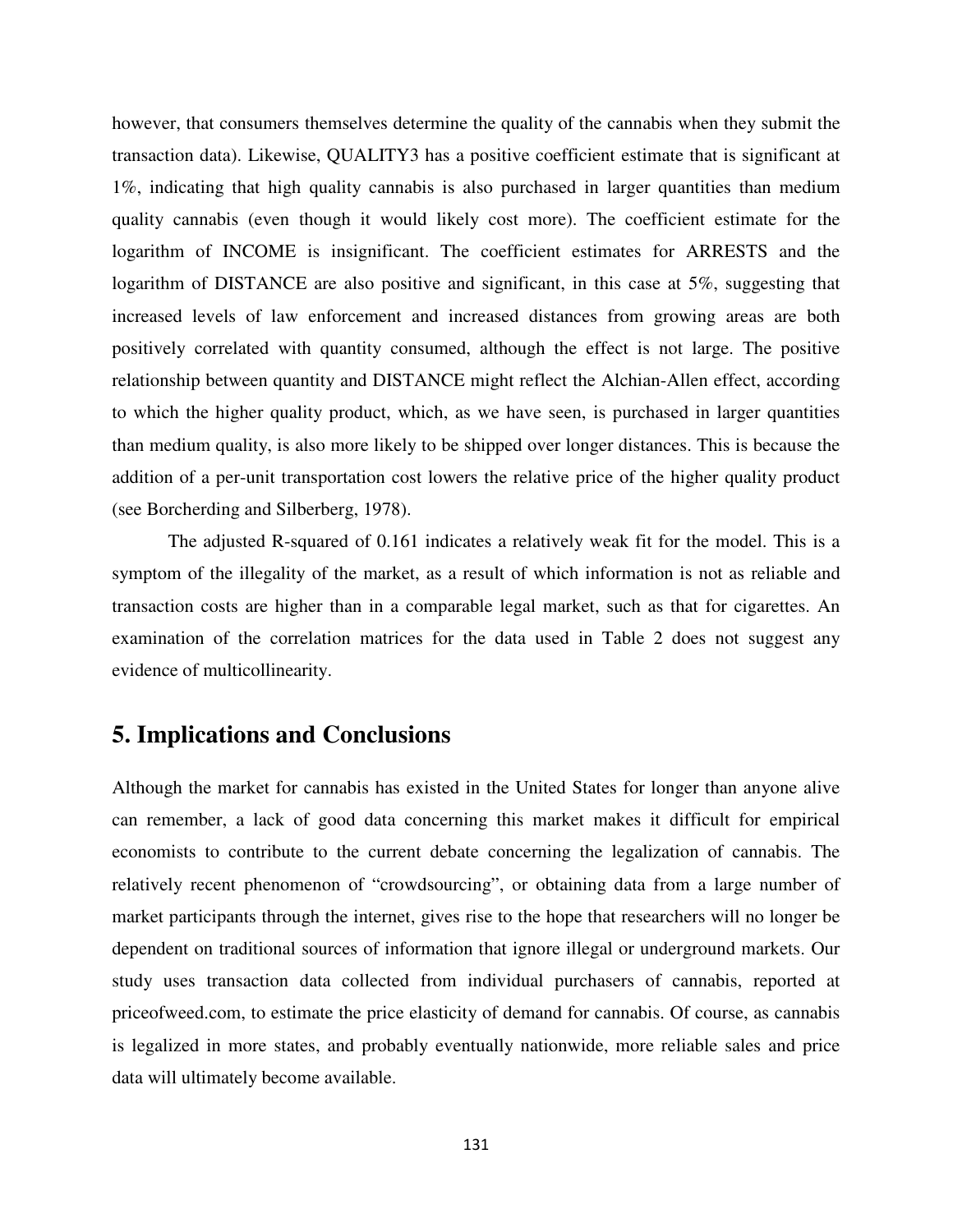however, that consumers themselves determine the quality of the cannabis when they submit the transaction data). Likewise, QUALITY3 has a positive coefficient estimate that is significant at 1%, indicating that high quality cannabis is also purchased in larger quantities than medium quality cannabis (even though it would likely cost more). The coefficient estimate for the logarithm of INCOME is insignificant. The coefficient estimates for ARRESTS and the logarithm of DISTANCE are also positive and significant, in this case at 5%, suggesting that increased levels of law enforcement and increased distances from growing areas are both positively correlated with quantity consumed, although the effect is not large. The positive relationship between quantity and DISTANCE might reflect the Alchian-Allen effect, according to which the higher quality product, which, as we have seen, is purchased in larger quantities than medium quality, is also more likely to be shipped over longer distances. This is because the addition of a per-unit transportation cost lowers the relative price of the higher quality product (see Borcherding and Silberberg, 1978).

The adjusted R-squared of 0.161 indicates a relatively weak fit for the model. This is a symptom of the illegality of the market, as a result of which information is not as reliable and transaction costs are higher than in a comparable legal market, such as that for cigarettes. An examination of the correlation matrices for the data used in Table 2 does not suggest any evidence of multicollinearity.

## **5. Implications and Conclusions**

Although the market for cannabis has existed in the United States for longer than anyone alive can remember, a lack of good data concerning this market makes it difficult for empirical economists to contribute to the current debate concerning the legalization of cannabis. The relatively recent phenomenon of "crowdsourcing", or obtaining data from a large number of market participants through the internet, gives rise to the hope that researchers will no longer be dependent on traditional sources of information that ignore illegal or underground markets. Our study uses transaction data collected from individual purchasers of cannabis, reported at priceofweed.com, to estimate the price elasticity of demand for cannabis. Of course, as cannabis is legalized in more states, and probably eventually nationwide, more reliable sales and price data will ultimately become available.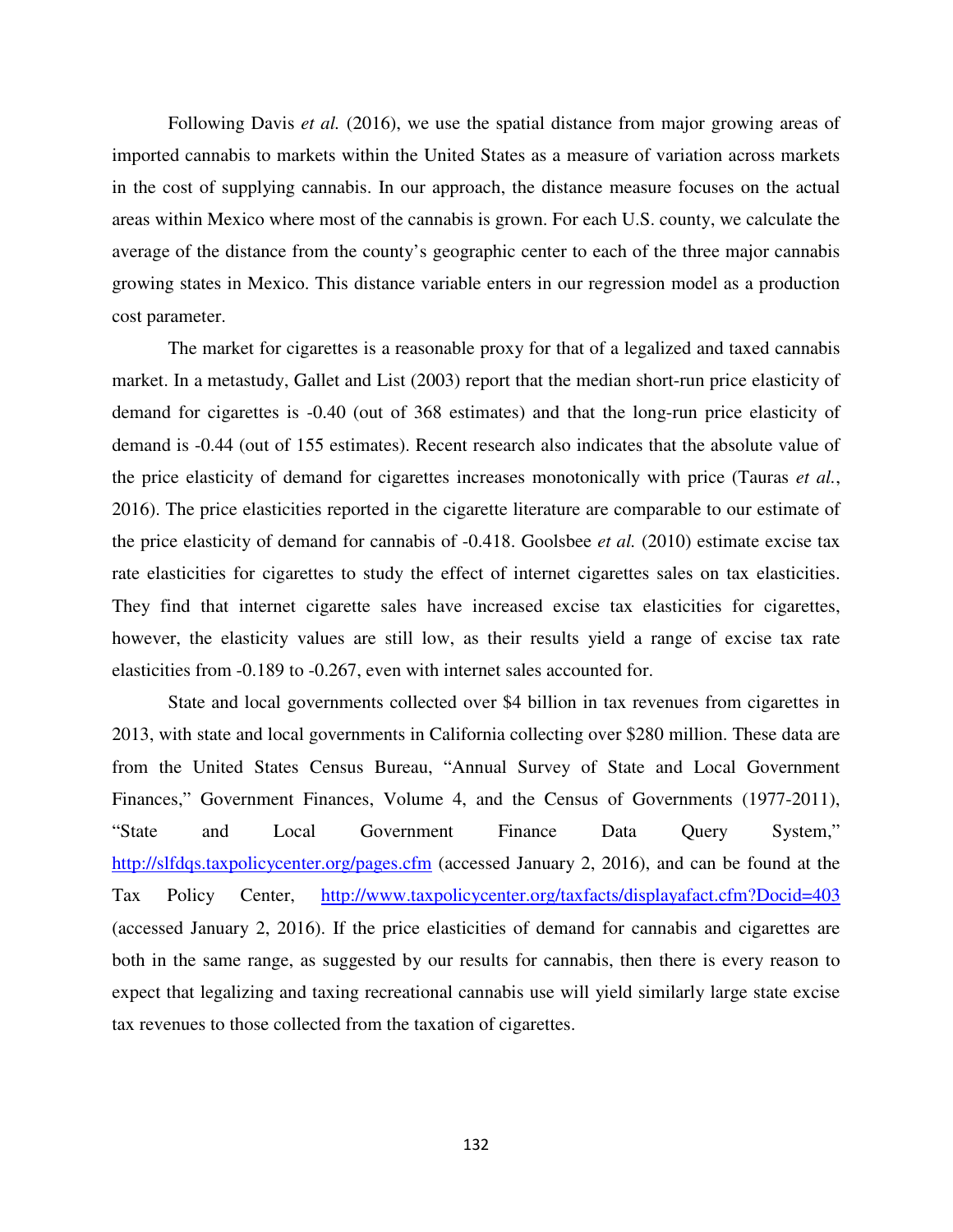Following Davis *et al.* (2016), we use the spatial distance from major growing areas of imported cannabis to markets within the United States as a measure of variation across markets in the cost of supplying cannabis. In our approach, the distance measure focuses on the actual areas within Mexico where most of the cannabis is grown. For each U.S. county, we calculate the average of the distance from the county's geographic center to each of the three major cannabis growing states in Mexico. This distance variable enters in our regression model as a production cost parameter.

The market for cigarettes is a reasonable proxy for that of a legalized and taxed cannabis market. In a metastudy, Gallet and List (2003) report that the median short-run price elasticity of demand for cigarettes is -0.40 (out of 368 estimates) and that the long-run price elasticity of demand is -0.44 (out of 155 estimates). Recent research also indicates that the absolute value of the price elasticity of demand for cigarettes increases monotonically with price (Tauras *et al.*, 2016). The price elasticities reported in the cigarette literature are comparable to our estimate of the price elasticity of demand for cannabis of -0.418. Goolsbee *et al.* (2010) estimate excise tax rate elasticities for cigarettes to study the effect of internet cigarettes sales on tax elasticities. They find that internet cigarette sales have increased excise tax elasticities for cigarettes, however, the elasticity values are still low, as their results yield a range of excise tax rate elasticities from -0.189 to -0.267, even with internet sales accounted for.

State and local governments collected over \$4 billion in tax revenues from cigarettes in 2013, with state and local governments in California collecting over \$280 million. These data are from the United States Census Bureau, "Annual Survey of State and Local Government Finances," Government Finances, Volume 4, and the Census of Governments (1977-2011), "State and Local Government Finance Data Query System," http://slfdqs.taxpolicycenter.org/pages.cfm (accessed January 2, 2016), and can be found at the Tax Policy Center, http://www.taxpolicycenter.org/taxfacts/displayafact.cfm?Docid=403 (accessed January 2, 2016). If the price elasticities of demand for cannabis and cigarettes are both in the same range, as suggested by our results for cannabis, then there is every reason to expect that legalizing and taxing recreational cannabis use will yield similarly large state excise tax revenues to those collected from the taxation of cigarettes.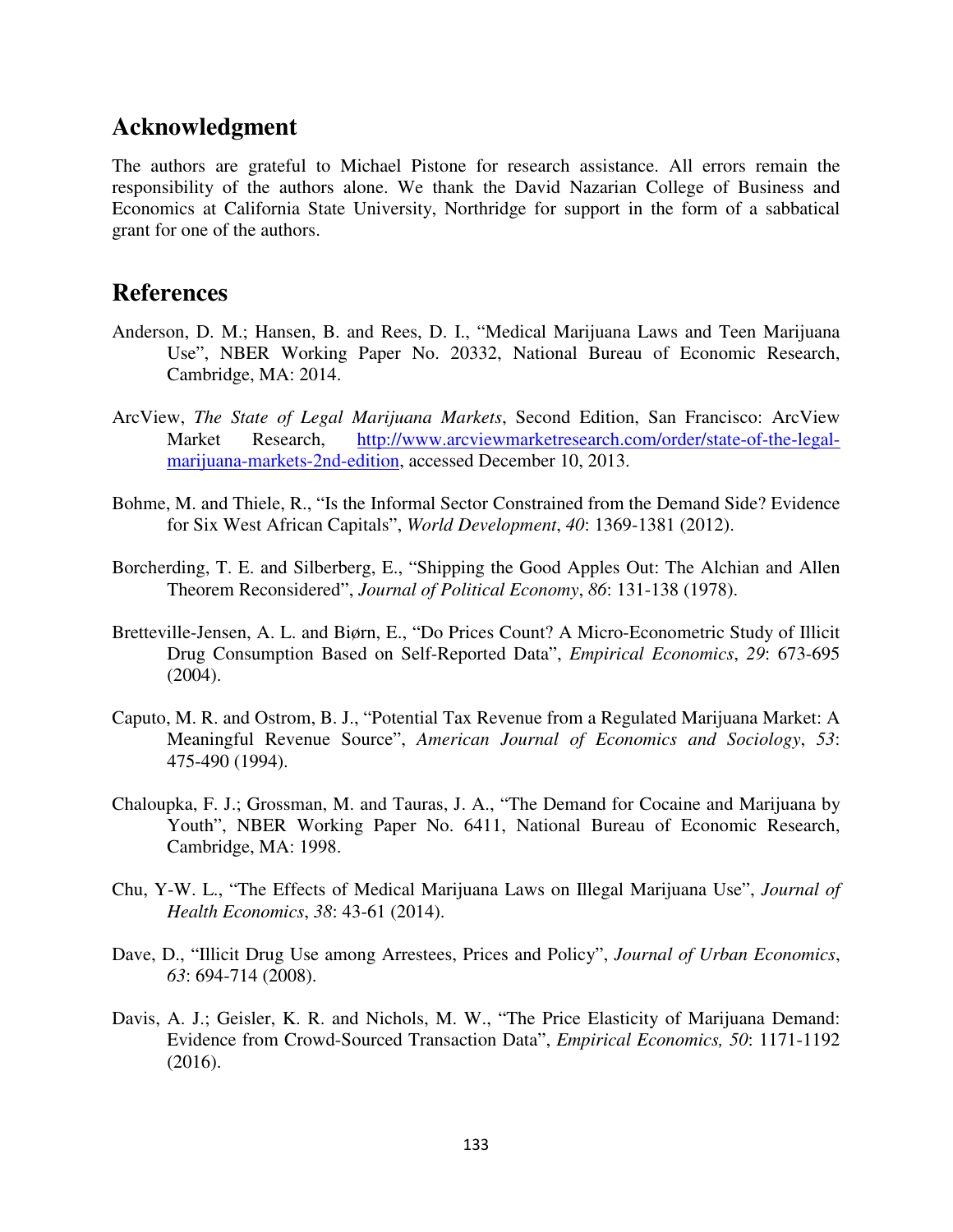# **Acknowledgment**

The authors are grateful to Michael Pistone for research assistance. All errors remain the responsibility of the authors alone. We thank the David Nazarian College of Business and Economics at California State University, Northridge for support in the form of a sabbatical grant for one of the authors.

## **References**

- Anderson, D. M.; Hansen, B. and Rees, D. I., "Medical Marijuana Laws and Teen Marijuana Use", NBER Working Paper No. 20332, National Bureau of Economic Research, Cambridge, MA: 2014.
- ArcView, *The State of Legal Marijuana Markets*, Second Edition, San Francisco: ArcView Market Research, http://www.arcviewmarketresearch.com/order/state-of-the-legalmarijuana-markets-2nd-edition, accessed December 10, 2013.
- Bohme, M. and Thiele, R., "Is the Informal Sector Constrained from the Demand Side? Evidence for Six West African Capitals", *World Development*, *40*: 1369-1381 (2012).
- Borcherding, T. E. and Silberberg, E., "Shipping the Good Apples Out: The Alchian and Allen Theorem Reconsidered", *Journal of Political Economy*, *86*: 131-138 (1978).
- Bretteville-Jensen, A. L. and Biørn, E., "Do Prices Count? A Micro-Econometric Study of Illicit Drug Consumption Based on Self-Reported Data", *Empirical Economics*, *29*: 673-695 (2004).
- Caputo, M. R. and Ostrom, B. J., "Potential Tax Revenue from a Regulated Marijuana Market: A Meaningful Revenue Source", *American Journal of Economics and Sociology*, *53*: 475-490 (1994).
- Chaloupka, F. J.; Grossman, M. and Tauras, J. A., "The Demand for Cocaine and Marijuana by Youth", NBER Working Paper No. 6411, National Bureau of Economic Research, Cambridge, MA: 1998.
- Chu, Y-W. L., "The Effects of Medical Marijuana Laws on Illegal Marijuana Use", *Journal of Health Economics*, *38*: 43-61 (2014).
- Dave, D., "Illicit Drug Use among Arrestees, Prices and Policy", *Journal of Urban Economics*, *63*: 694-714 (2008).
- Davis, A. J.; Geisler, K. R. and Nichols, M. W., "The Price Elasticity of Marijuana Demand: Evidence from Crowd-Sourced Transaction Data", *Empirical Economics, 50*: 1171-1192 (2016).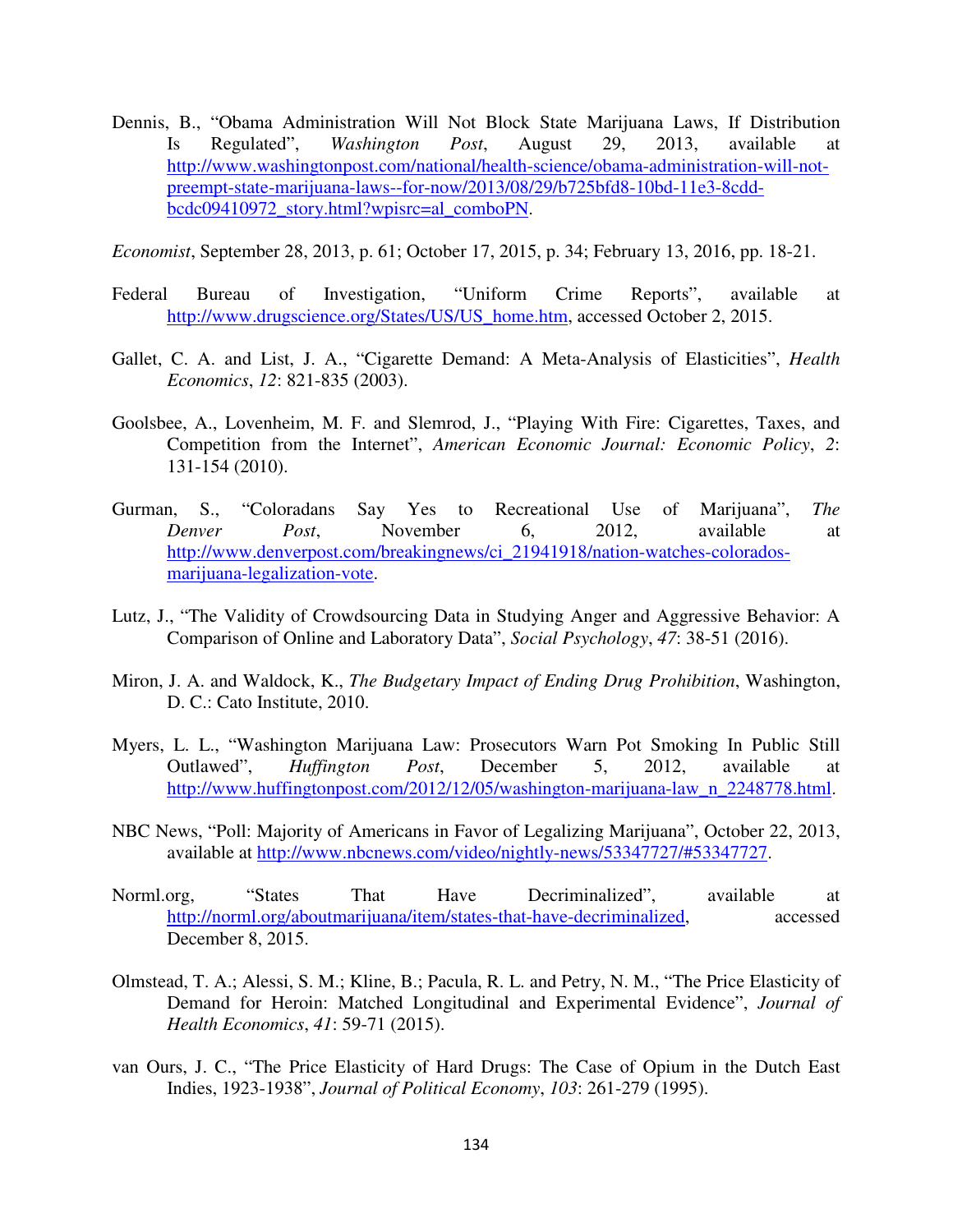Dennis, B., "Obama Administration Will Not Block State Marijuana Laws, If Distribution Is Regulated", *Washington Post*, August 29, 2013, available at http://www.washingtonpost.com/national/health-science/obama-administration-will-notpreempt-state-marijuana-laws--for-now/2013/08/29/b725bfd8-10bd-11e3-8cddbcdc09410972\_story.html?wpisrc=al\_comboPN.

*Economist*, September 28, 2013, p. 61; October 17, 2015, p. 34; February 13, 2016, pp. 18-21.

- Federal Bureau of Investigation, "Uniform Crime Reports", available at http://www.drugscience.org/States/US/US\_home.htm, accessed October 2, 2015.
- Gallet, C. A. and List, J. A., "Cigarette Demand: A Meta-Analysis of Elasticities", *Health Economics*, *12*: 821-835 (2003).
- Goolsbee, A., Lovenheim, M. F. and Slemrod, J., "Playing With Fire: Cigarettes, Taxes, and Competition from the Internet", *American Economic Journal: Economic Policy*, *2*: 131-154 (2010).
- Gurman, S., "Coloradans Say Yes to Recreational Use of Marijuana", *The Denver Post*, November 6, 2012, available at http://www.denverpost.com/breakingnews/ci\_21941918/nation-watches-coloradosmarijuana-legalization-vote.
- Lutz, J., "The Validity of Crowdsourcing Data in Studying Anger and Aggressive Behavior: A Comparison of Online and Laboratory Data", *Social Psychology*, *47*: 38-51 (2016).
- Miron, J. A. and Waldock, K., *The Budgetary Impact of Ending Drug Prohibition*, Washington, D. C.: Cato Institute, 2010.
- Myers, L. L., "Washington Marijuana Law: Prosecutors Warn Pot Smoking In Public Still Outlawed", *Huffington Post*, December 5, 2012, available at http://www.huffingtonpost.com/2012/12/05/washington-marijuana-law\_n\_2248778.html.
- NBC News, "Poll: Majority of Americans in Favor of Legalizing Marijuana", October 22, 2013, available at http://www.nbcnews.com/video/nightly-news/53347727/#53347727.
- Norml.org, "States That Have Decriminalized", available at http://norml.org/aboutmarijuana/item/states-that-have-decriminalized, accessed December 8, 2015.
- Olmstead, T. A.; Alessi, S. M.; Kline, B.; Pacula, R. L. and Petry, N. M., "The Price Elasticity of Demand for Heroin: Matched Longitudinal and Experimental Evidence", *Journal of Health Economics*, *41*: 59-71 (2015).
- van Ours, J. C., "The Price Elasticity of Hard Drugs: The Case of Opium in the Dutch East Indies, 1923-1938", *Journal of Political Economy*, *103*: 261-279 (1995).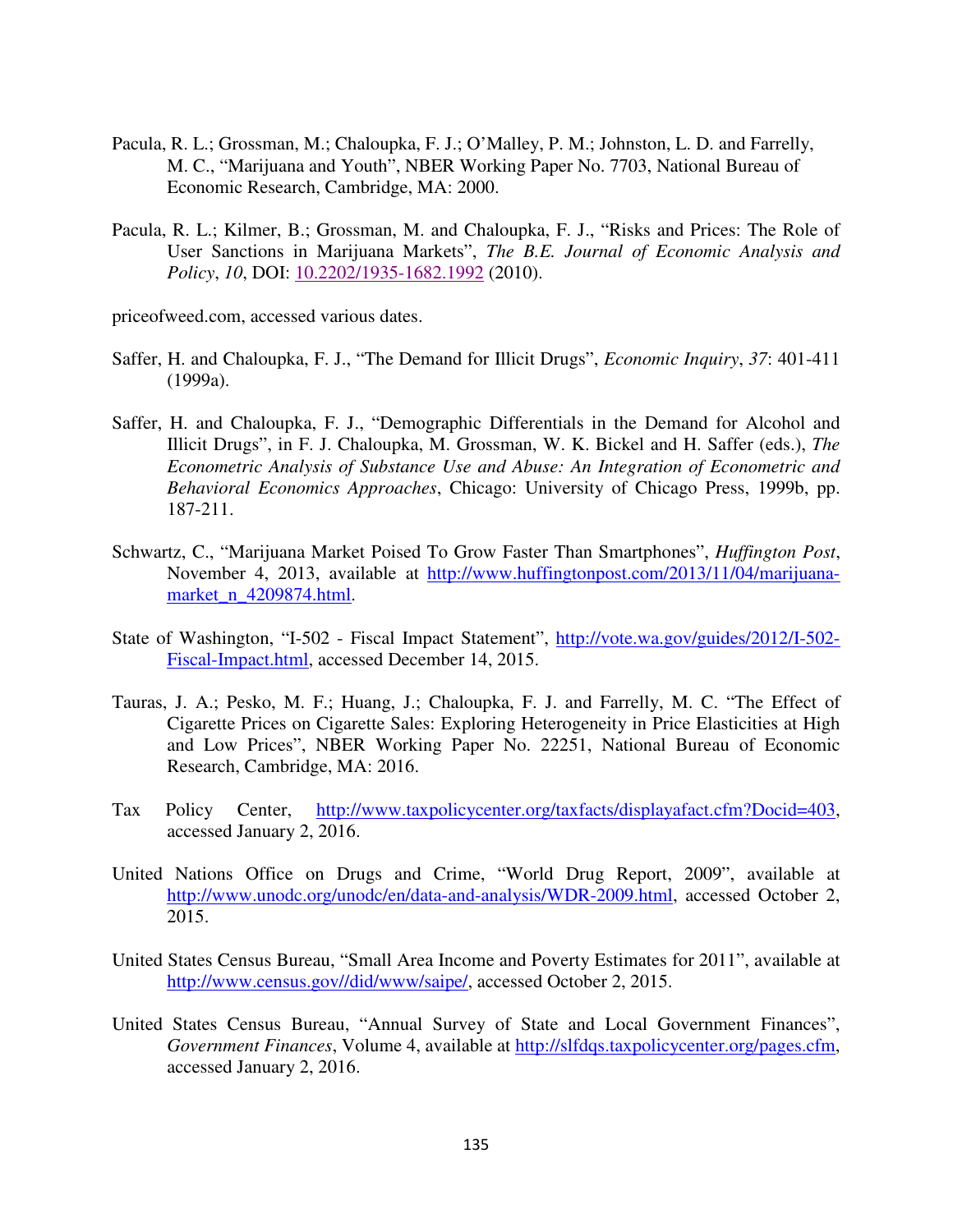- Pacula, R. L.; Grossman, M.; Chaloupka, F. J.; O'Malley, P. M.; Johnston, L. D. and Farrelly, M. C., "Marijuana and Youth", NBER Working Paper No. 7703, National Bureau of Economic Research, Cambridge, MA: 2000.
- Pacula, R. L.; Kilmer, B.; Grossman, M. and Chaloupka, F. J., "Risks and Prices: The Role of User Sanctions in Marijuana Markets", *The B.E. Journal of Economic Analysis and Policy*, *10*, DOI: 10.2202/1935-1682.1992 (2010).
- priceofweed.com, accessed various dates.
- Saffer, H. and Chaloupka, F. J., "The Demand for Illicit Drugs", *Economic Inquiry*, *37*: 401-411 (1999a).
- Saffer, H. and Chaloupka, F. J., "Demographic Differentials in the Demand for Alcohol and Illicit Drugs", in F. J. Chaloupka, M. Grossman, W. K. Bickel and H. Saffer (eds.), *The Econometric Analysis of Substance Use and Abuse: An Integration of Econometric and Behavioral Economics Approaches*, Chicago: University of Chicago Press, 1999b, pp. 187-211.
- Schwartz, C., "Marijuana Market Poised To Grow Faster Than Smartphones", *Huffington Post*, November 4, 2013, available at http://www.huffingtonpost.com/2013/11/04/marijuanamarket\_n\_4209874.html.
- State of Washington, "I-502 Fiscal Impact Statement", http://vote.wa.gov/guides/2012/I-502- Fiscal-Impact.html, accessed December 14, 2015.
- Tauras, J. A.; Pesko, M. F.; Huang, J.; Chaloupka, F. J. and Farrelly, M. C. "The Effect of Cigarette Prices on Cigarette Sales: Exploring Heterogeneity in Price Elasticities at High and Low Prices", NBER Working Paper No. 22251, National Bureau of Economic Research, Cambridge, MA: 2016.
- Tax Policy Center, http://www.taxpolicycenter.org/taxfacts/displayafact.cfm?Docid=403, accessed January 2, 2016.
- United Nations Office on Drugs and Crime, "World Drug Report, 2009", available at http://www.unodc.org/unodc/en/data-and-analysis/WDR-2009.html, accessed October 2, 2015.
- United States Census Bureau, "Small Area Income and Poverty Estimates for 2011", available at http://www.census.gov//did/www/saipe/, accessed October 2, 2015.
- United States Census Bureau, "Annual Survey of State and Local Government Finances", *Government Finances*, Volume 4, available at http://slfdqs.taxpolicycenter.org/pages.cfm, accessed January 2, 2016.